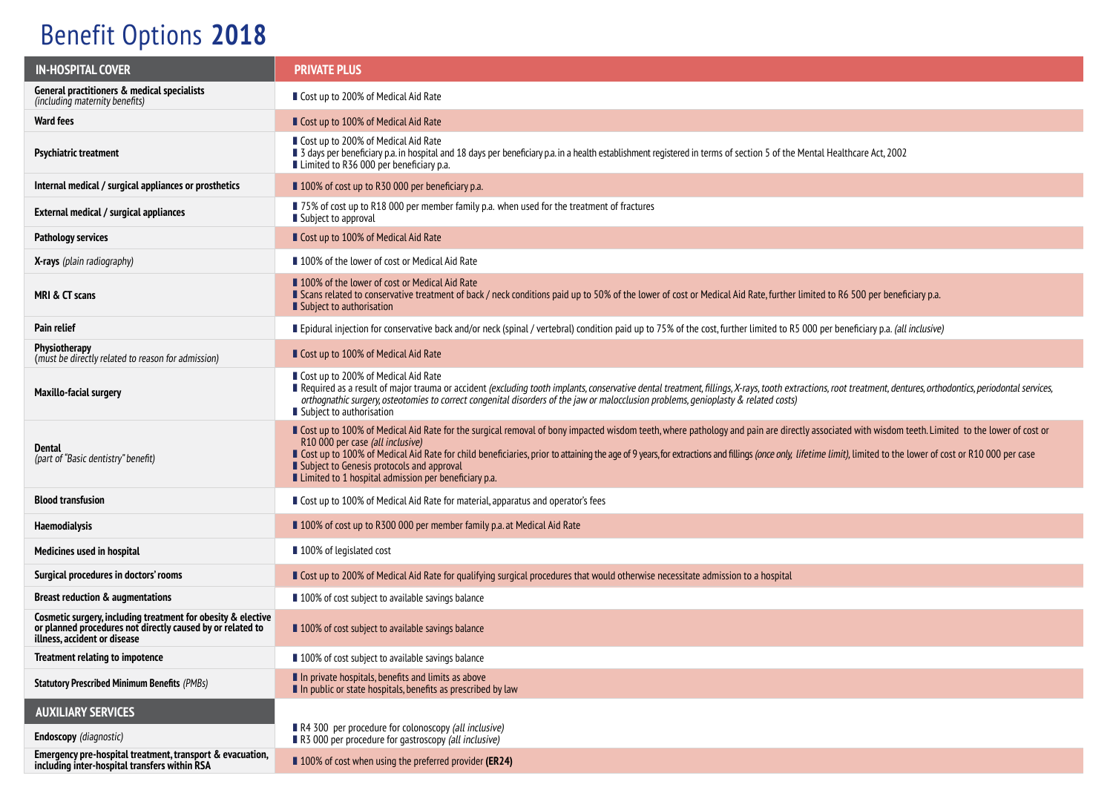## Benefit Options **2018**

| <b>IN-HOSPITAL COVER</b>                                                                                                                                   | <b>PRIVATE PLUS</b>                                                                                                                                                                                                                                                                                                                                                                                                                                                                                                                                            |  |  |
|------------------------------------------------------------------------------------------------------------------------------------------------------------|----------------------------------------------------------------------------------------------------------------------------------------------------------------------------------------------------------------------------------------------------------------------------------------------------------------------------------------------------------------------------------------------------------------------------------------------------------------------------------------------------------------------------------------------------------------|--|--|
| General practitioners & medical specialists<br>(including maternity benefits)                                                                              | ■ Cost up to 200% of Medical Aid Rate                                                                                                                                                                                                                                                                                                                                                                                                                                                                                                                          |  |  |
| <b>Ward fees</b>                                                                                                                                           | ■ Cost up to 100% of Medical Aid Rate                                                                                                                                                                                                                                                                                                                                                                                                                                                                                                                          |  |  |
| <b>Psychiatric treatment</b>                                                                                                                               | ■ Cost up to 200% of Medical Aid Rate<br>■ 3 days per beneficiary p.a. in hospital and 18 days per beneficiary p.a. in a health establishment registered in terms of section 5 of the Mental Healthcare Act, 2002<br>■ Limited to R36 000 per beneficiary p.a.                                                                                                                                                                                                                                                                                                 |  |  |
| Internal medical / surgical appliances or prosthetics                                                                                                      | ■ 100% of cost up to R30 000 per beneficiary p.a.                                                                                                                                                                                                                                                                                                                                                                                                                                                                                                              |  |  |
| External medical / surgical appliances                                                                                                                     | ■ 75% of cost up to R18 000 per member family p.a. when used for the treatment of fractures<br>Subject to approval                                                                                                                                                                                                                                                                                                                                                                                                                                             |  |  |
| Pathology services                                                                                                                                         | ■ Cost up to 100% of Medical Aid Rate                                                                                                                                                                                                                                                                                                                                                                                                                                                                                                                          |  |  |
| <b>X-rays</b> (plain radiography)                                                                                                                          | ■ 100% of the lower of cost or Medical Aid Rate                                                                                                                                                                                                                                                                                                                                                                                                                                                                                                                |  |  |
| MRI & CT scans                                                                                                                                             | ■ 100% of the lower of cost or Medical Aid Rate<br>Scans related to conservative treatment of back / neck conditions paid up to 50% of the lower of cost or Medical Aid Rate, further limited to R6 500 per beneficiary p.a.<br>Subject to authorisation                                                                                                                                                                                                                                                                                                       |  |  |
| Pain relief                                                                                                                                                | Epidural injection for conservative back and/or neck (spinal / vertebral) condition paid up to 75% of the cost, further limited to R5 000 per beneficiary p.a. (all inclusive)                                                                                                                                                                                                                                                                                                                                                                                 |  |  |
| Physiotherapy<br>(must be directly related to reason for admission)                                                                                        | ■ Cost up to 100% of Medical Aid Rate                                                                                                                                                                                                                                                                                                                                                                                                                                                                                                                          |  |  |
| <b>Maxillo-facial surgery</b>                                                                                                                              | ■ Cost up to 200% of Medical Aid Rate<br>Required as a result of major trauma or accident (excluding tooth implants, conservative dental treatment, fillings, X-rays, tooth extractions, root treatment, dentures, orthodontics, periodontal services,<br>orthognathic surgery, osteotomies to correct congenital disorders of the jaw or malocclusion problems, genioplasty & related costs)<br>Subject to authorisation                                                                                                                                      |  |  |
| Dental<br>(part of "Basic dentistry" benefit)                                                                                                              | Cost up to 100% of Medical Aid Rate for the surgical removal of bony impacted wisdom teeth, where pathology and pain are directly associated with wisdom teeth. Limited to the lower of cost or<br>R10 000 per case (all inclusive)<br>Cost up to 100% of Medical Aid Rate for child beneficiaries, prior to attaining the age of 9 years, for extractions and fillings (once only, lifetime limit), limited to the lower of cost or R10 000 per case<br>■ Subject to Genesis protocols and approval<br>■ Limited to 1 hospital admission per beneficiary p.a. |  |  |
| <b>Blood transfusion</b>                                                                                                                                   | ■ Cost up to 100% of Medical Aid Rate for material, apparatus and operator's fees                                                                                                                                                                                                                                                                                                                                                                                                                                                                              |  |  |
| Haemodialysis                                                                                                                                              | ■ 100% of cost up to R300 000 per member family p.a. at Medical Aid Rate                                                                                                                                                                                                                                                                                                                                                                                                                                                                                       |  |  |
| Medicines used in hospital                                                                                                                                 | ■ 100% of legislated cost                                                                                                                                                                                                                                                                                                                                                                                                                                                                                                                                      |  |  |
| Surgical procedures in doctors' rooms                                                                                                                      | Gost up to 200% of Medical Aid Rate for qualifying surgical procedures that would otherwise necessitate admission to a hospital                                                                                                                                                                                                                                                                                                                                                                                                                                |  |  |
| <b>Breast reduction &amp; augmentations</b>                                                                                                                | 100% of cost subject to available savings balance                                                                                                                                                                                                                                                                                                                                                                                                                                                                                                              |  |  |
| Cosmetic surgery, including treatment for obesity & elective<br>or planned procedures not directly caused by or related to<br>illness, accident or disease | ■ 100% of cost subject to available savings balance                                                                                                                                                                                                                                                                                                                                                                                                                                                                                                            |  |  |
| Treatment relating to impotence                                                                                                                            | 100% of cost subject to available savings balance                                                                                                                                                                                                                                                                                                                                                                                                                                                                                                              |  |  |
| <b>Statutory Prescribed Minimum Benefits (PMBs)</b>                                                                                                        | In private hospitals, benefits and limits as above<br>In public or state hospitals, benefits as prescribed by law                                                                                                                                                                                                                                                                                                                                                                                                                                              |  |  |
| <b>AUXILIARY SERVICES</b>                                                                                                                                  |                                                                                                                                                                                                                                                                                                                                                                                                                                                                                                                                                                |  |  |
| Endoscopy (diagnostic)                                                                                                                                     | R4 300 per procedure for colonoscopy (all inclusive)<br>R3 000 per procedure for gastroscopy (all inclusive)                                                                                                                                                                                                                                                                                                                                                                                                                                                   |  |  |
| Emergency pre-hospital treatment, transport & evacuation,<br>including inter-hospital transfers within RSA                                                 | ■ 100% of cost when using the preferred provider (ER24)                                                                                                                                                                                                                                                                                                                                                                                                                                                                                                        |  |  |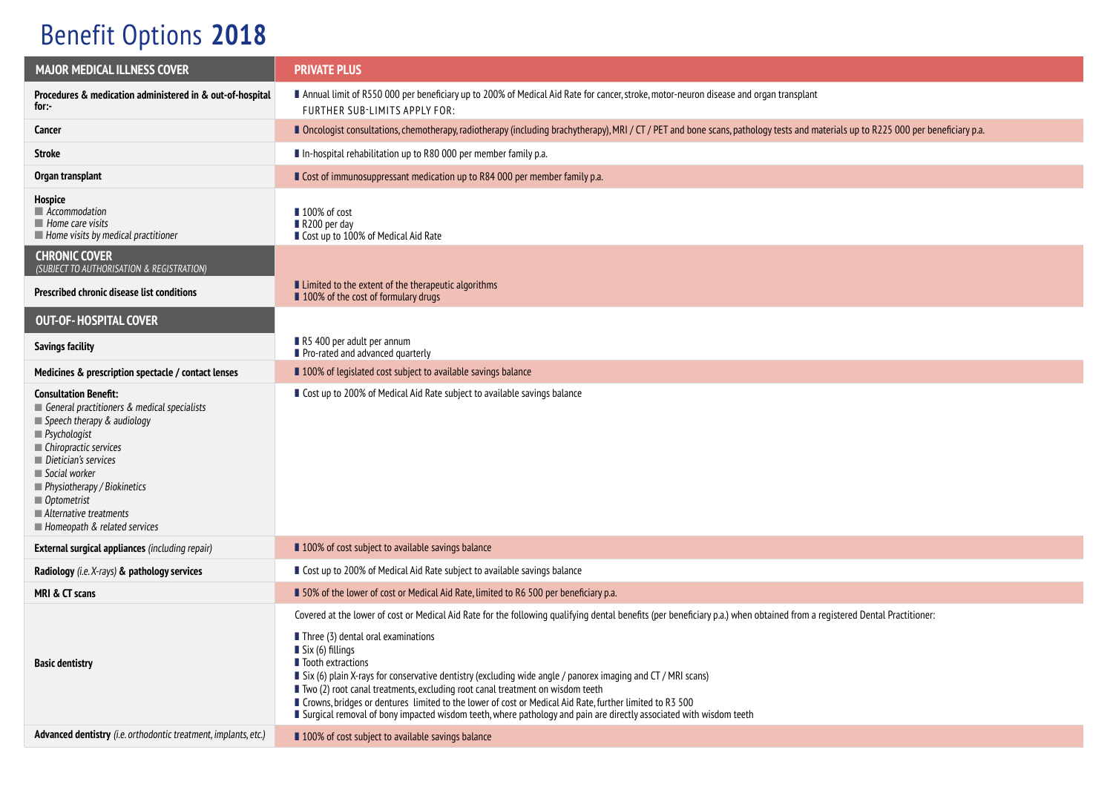## Benefit Options **2018**

| <b>MAJOR MEDICAL ILLNESS COVER</b>                                                                                                                                                                                                                                                                                                               | <b>PRIVATE PLUS</b>                                                                                                                                                                                                                                                                                                                                                                                                                                                                                                                                                                                                                                                                                                         |  |  |
|--------------------------------------------------------------------------------------------------------------------------------------------------------------------------------------------------------------------------------------------------------------------------------------------------------------------------------------------------|-----------------------------------------------------------------------------------------------------------------------------------------------------------------------------------------------------------------------------------------------------------------------------------------------------------------------------------------------------------------------------------------------------------------------------------------------------------------------------------------------------------------------------------------------------------------------------------------------------------------------------------------------------------------------------------------------------------------------------|--|--|
| Procedures & medication administered in & out-of-hospital<br>for:-                                                                                                                                                                                                                                                                               | Annual limit of R550 000 per beneficiary up to 200% of Medical Aid Rate for cancer, stroke, motor-neuron disease and organ transplant<br>FURTHER SUB-LIMITS APPLY FOR:                                                                                                                                                                                                                                                                                                                                                                                                                                                                                                                                                      |  |  |
| Cancer                                                                                                                                                                                                                                                                                                                                           | Docologist consultations, chemotherapy, radiotherapy (including brachytherapy), MRI / CT/PET and bone scans, pathology tests and materials up to R225 000 per beneficiary p.a.                                                                                                                                                                                                                                                                                                                                                                                                                                                                                                                                              |  |  |
| <b>Stroke</b>                                                                                                                                                                                                                                                                                                                                    | In-hospital rehabilitation up to R80 000 per member family p.a.                                                                                                                                                                                                                                                                                                                                                                                                                                                                                                                                                                                                                                                             |  |  |
| Organ transplant                                                                                                                                                                                                                                                                                                                                 | Cost of immunosuppressant medication up to R84 000 per member family p.a.                                                                                                                                                                                                                                                                                                                                                                                                                                                                                                                                                                                                                                                   |  |  |
| Hospice<br>$\blacksquare$ Accommodation<br>$\blacksquare$ Home care visits<br>Home visits by medical practitioner                                                                                                                                                                                                                                | ■ 100% of cost<br>R200 per day<br>Cost up to 100% of Medical Aid Rate                                                                                                                                                                                                                                                                                                                                                                                                                                                                                                                                                                                                                                                       |  |  |
| <b>CHRONIC COVER</b><br>(SUBJECT TO AUTHORISATION & REGISTRATION)                                                                                                                                                                                                                                                                                |                                                                                                                                                                                                                                                                                                                                                                                                                                                                                                                                                                                                                                                                                                                             |  |  |
| Prescribed chronic disease list conditions                                                                                                                                                                                                                                                                                                       | ■ Limited to the extent of the therapeutic algorithms<br>■ 100% of the cost of formulary drugs                                                                                                                                                                                                                                                                                                                                                                                                                                                                                                                                                                                                                              |  |  |
| <b>OUT-OF-HOSPITAL COVER</b>                                                                                                                                                                                                                                                                                                                     |                                                                                                                                                                                                                                                                                                                                                                                                                                                                                                                                                                                                                                                                                                                             |  |  |
| <b>Savings facility</b>                                                                                                                                                                                                                                                                                                                          | R5 400 per adult per annum<br>Pro-rated and advanced quarterly                                                                                                                                                                                                                                                                                                                                                                                                                                                                                                                                                                                                                                                              |  |  |
| Medicines & prescription spectacle / contact lenses                                                                                                                                                                                                                                                                                              | 100% of legislated cost subject to available savings balance                                                                                                                                                                                                                                                                                                                                                                                                                                                                                                                                                                                                                                                                |  |  |
| <b>Consultation Benefit:</b><br>General practitioners & medical specialists<br>$\blacksquare$ Speech therapy & audiology<br>$\blacksquare$ Psychologist<br>Chiropractic services<br>Dietician's services<br>Social worker<br>Physiotherapy / Biokinetics<br>$\blacksquare$ Optometrist<br>Alternative treatments<br>Homeopath & related services | ■ Cost up to 200% of Medical Aid Rate subject to available savings balance                                                                                                                                                                                                                                                                                                                                                                                                                                                                                                                                                                                                                                                  |  |  |
| <b>External surgical appliances</b> (including repair)                                                                                                                                                                                                                                                                                           | ■ 100% of cost subject to available savings balance                                                                                                                                                                                                                                                                                                                                                                                                                                                                                                                                                                                                                                                                         |  |  |
| Radiology (i.e. X-rays) & pathology services                                                                                                                                                                                                                                                                                                     | ■ Cost up to 200% of Medical Aid Rate subject to available savings balance                                                                                                                                                                                                                                                                                                                                                                                                                                                                                                                                                                                                                                                  |  |  |
| MRI & CT scans                                                                                                                                                                                                                                                                                                                                   | 50% of the lower of cost or Medical Aid Rate, limited to R6 500 per beneficiary p.a.                                                                                                                                                                                                                                                                                                                                                                                                                                                                                                                                                                                                                                        |  |  |
| <b>Basic dentistry</b>                                                                                                                                                                                                                                                                                                                           | Covered at the lower of cost or Medical Aid Rate for the following qualifying dental benefits (per beneficiary p.a.) when obtained from a registered Dental Practitioner:<br>$\blacksquare$ Three (3) dental oral examinations<br>$\blacksquare$ Six (6) fillings<br>lacktractions<br>■ Six (6) plain X-rays for conservative dentistry (excluding wide angle / panorex imaging and CT / MRI scans)<br>■ Two (2) root canal treatments, excluding root canal treatment on wisdom teeth<br>■ Crowns, bridges or dentures limited to the lower of cost or Medical Aid Rate, further limited to R3 500<br>I Surgical removal of bony impacted wisdom teeth, where pathology and pain are directly associated with wisdom teeth |  |  |
| Advanced dentistry (i.e. orthodontic treatment, implants, etc.)                                                                                                                                                                                                                                                                                  | 100% of cost subject to available savings balance                                                                                                                                                                                                                                                                                                                                                                                                                                                                                                                                                                                                                                                                           |  |  |